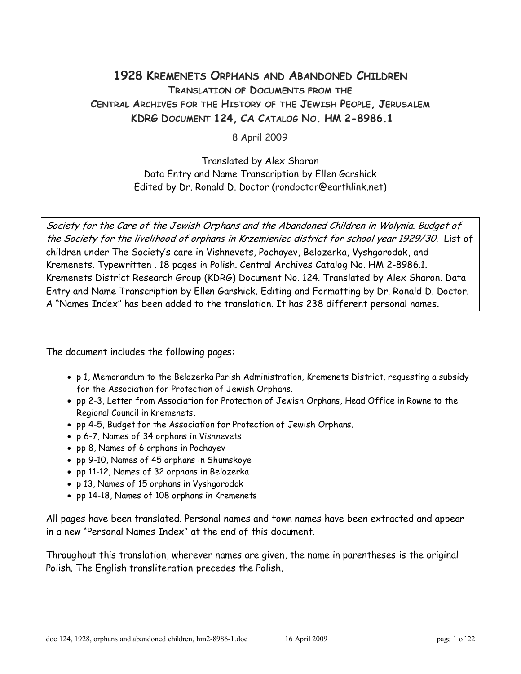### 1928 KREMENETS ORPHANS AND ABANDONED CHILDREN TRANSLATION OF DOCUMENTS FROM THE CENTRAL ARCHIVES FOR THE HISTORY OF THE JEWISH PEOPLE, JERUSALEM KDRG DOCUMENT 124, CA CATALOG NO. HM 2-8986.1

8 April 2009

Translated by Alex Sharon Data Entry and Name Transcription by Ellen Garshick Edited by Dr. Ronald D. Doctor (rondoctor@earthlink.net)

Society for the Care of the Jewish Orphans and the Abandoned Children in Wolynia. Budget of the Society for the livelihood of orphans in Krzemieniec district for school year 1929/30. List of children under The Society's care in Vishnevets, Pochayev, Belozerka, Vyshgorodok, and Kremenets. Typewritten . 18 pages in Polish. Central Archives Catalog No. HM 2-8986.1. Kremenets District Research Group (KDRG) Document No. 124. Translated by Alex Sharon. Data Entry and Name Transcription by Ellen Garshick. Editing and Formatting by Dr. Ronald D. Doctor. A "Names Index" has been added to the translation. It has 238 different personal names.

The document includes the following pages:

- p 1, Memorandum to the Belozerka Parish Administration, Kremenets District, requesting a subsidy for the Association for Protection of Jewish Orphans.
- pp 2-3, Letter from Association for Protection of Jewish Orphans, Head Office in Rowne to the Regional Council in Kremenets.
- pp 4-5, Budget for the Association for Protection of Jewish Orphans.
- p 6-7, Names of 34 orphans in Vishnevets
- pp 8, Names of 6 orphans in Pochayev
- pp 9-10, Names of 45 orphans in Shumskoye
- pp 11-12, Names of 32 orphans in Belozerka
- p 13, Names of 15 orphans in Vyshgorodok
- pp 14-18, Names of 108 orphans in Kremenets

All pages have been translated. Personal names and town names have been extracted and appear in a new "Personal Names Index" at the end of this document.

Throughout this translation, wherever names are given, the name in parentheses is the original Polish. The English transliteration precedes the Polish.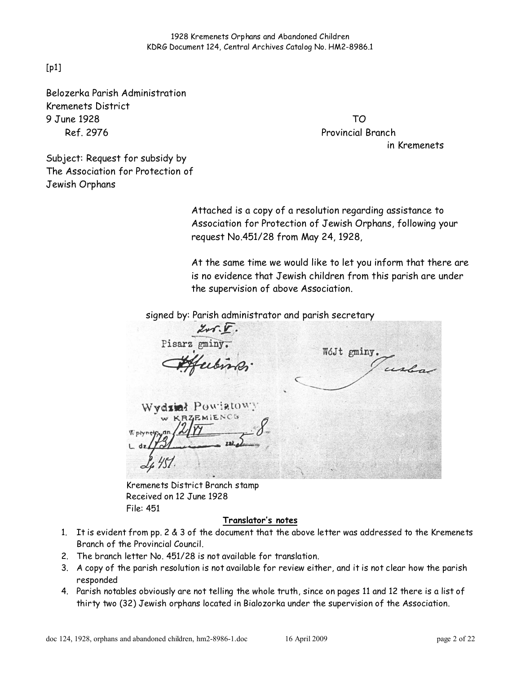[p1]

Belozerka Parish Administration Kremenets District 9 June 1928 TO Ref. 2976 Provincial Branch

in Kremenets

Subject: Request for subsidy by The Association for Protection of Jewish Orphans

> Attached is a copy of a resolution regarding assistance to Association for Protection of Jewish Orphans, following your request No.451/28 from May 24, 1928,

At the same time we would like to let you inform that there are is no evidence that Jewish children from this parish are under the supervision of above Association.

signed by: Parish administrator and parish secretary

Pisarz gminy WóJt gminy. usla Wydint Powiatowy EMIENCO

Kremenets District Branch stamp Received on 12 June 1928 File: 451

#### Translator's notes

- 1. It is evident from pp. 2 & 3 of the document that the above letter was addressed to the Kremenets Branch of the Provincial Council.
- 2. The branch letter No. 451/28 is not available for translation.
- 3. A copy of the parish resolution is not available for review either, and it is not clear how the parish responded
- 4. Parish notables obviously are not telling the whole truth, since on pages 11 and 12 there is a list of thirty two (32) Jewish orphans located in Bialozorka under the supervision of the Association.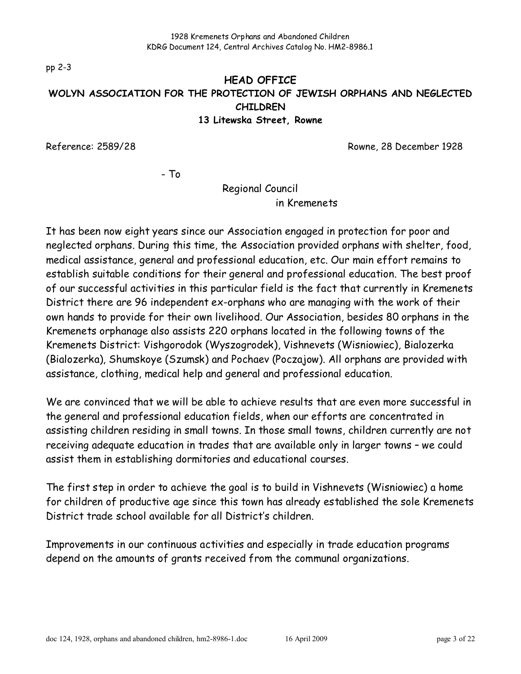pp 2-3

### HEAD OFFICE WOLYN ASSOCIATION FOR THE PROTECTION OF JEWISH ORPHANS AND NEGLECTED CHILDREN 13 Litewska Street, Rowne

Reference: 2589/28 Reference: 2589/28

- To

Regional Council

in Kremenets

It has been now eight years since our Association engaged in protection for poor and neglected orphans. During this time, the Association provided orphans with shelter, food, medical assistance, general and professional education, etc. Our main effort remains to establish suitable conditions for their general and professional education. The best proof of our successful activities in this particular field is the fact that currently in Kremenets District there are 96 independent ex-orphans who are managing with the work of their own hands to provide for their own livelihood. Our Association, besides 80 orphans in the Kremenets orphanage also assists 220 orphans located in the following towns of the Kremenets District: Vishgorodok (Wyszogrodek), Vishnevets (Wisniowiec), Bialozerka (Bialozerka), Shumskoye (Szumsk) and Pochaev (Poczajow). All orphans are provided with assistance, clothing, medical help and general and professional education.

We are convinced that we will be able to achieve results that are even more successful in the general and professional education fields, when our efforts are concentrated in assisting children residing in small towns. In those small towns, children currently are not receiving adequate education in trades that are available only in larger towns – we could assist them in establishing dormitories and educational courses.

The first step in order to achieve the goal is to build in Vishnevets (Wisniowiec) a home for children of productive age since this town has already established the sole Kremenets District trade school available for all District's children.

Improvements in our continuous activities and especially in trade education programs depend on the amounts of grants received from the communal organizations.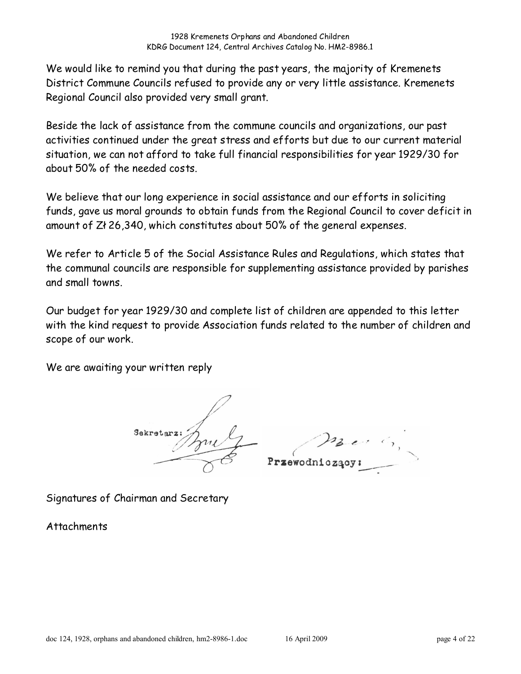We would like to remind you that during the past years, the majority of Kremenets District Commune Councils refused to provide any or very little assistance. Kremenets Regional Council also provided very small grant.

Beside the lack of assistance from the commune councils and organizations, our past activities continued under the great stress and efforts but due to our current material situation, we can not afford to take full financial responsibilities for year 1929/30 for about 50% of the needed costs.

We believe that our long experience in social assistance and our efforts in soliciting funds, gave us moral grounds to obtain funds from the Regional Council to cover deficit in amount of Zł 26,340, which constitutes about 50% of the general expenses.

We refer to Article 5 of the Social Assistance Rules and Regulations, which states that the communal councils are responsible for supplementing assistance provided by parishes and small towns.

Our budget for year 1929/30 and complete list of children are appended to this letter with the kind request to provide Association funds related to the number of children and scope of our work.

We are awaiting your written reply

Sekretarz rzewodniczacy

Signatures of Chairman and Secretary

**Attachments**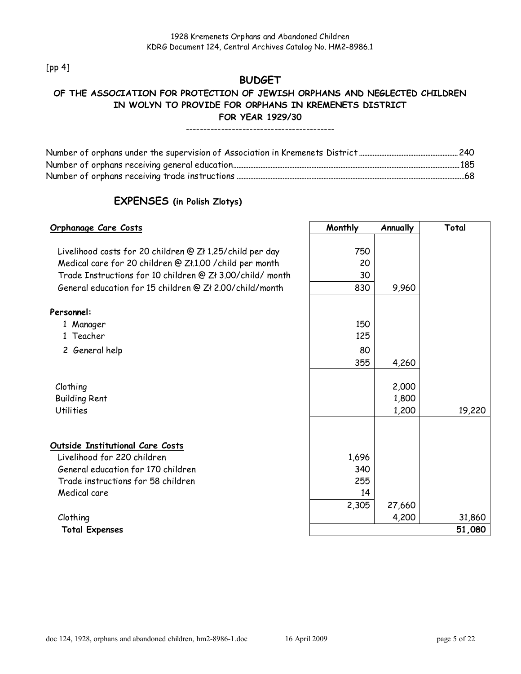[pp 4]

### **BUDGET**

### OF THE ASSOCIATION FOR PROTECTION OF JEWISH ORPHANS AND NEGLECTED CHILDREN IN WOLYN TO PROVIDE FOR ORPHANS IN KREMENETS DISTRICT FOR YEAR 1929/30

#### ------------------------------------------

### EXPENSES (in Polish Zlotys)

| <u> Orphanage Care Costs</u>                                                                                          | Monthly | Annually | Total  |
|-----------------------------------------------------------------------------------------------------------------------|---------|----------|--------|
| Livelihood costs for 20 children @ Zł 1.25/child per day                                                              | 750     |          |        |
|                                                                                                                       | 20      |          |        |
| Medical care for 20 children @ Zł.1.00 / child per month<br>Trade Instructions for 10 children @ Zł 3.00/child/ month | 30      |          |        |
|                                                                                                                       |         |          |        |
| General education for 15 children @ Zł 2.00/child/month                                                               | 830     | 9,960    |        |
| Personnel:                                                                                                            |         |          |        |
| 1 Manager                                                                                                             | 150     |          |        |
| 1 Teacher                                                                                                             | 125     |          |        |
| 2 General help                                                                                                        | 80      |          |        |
|                                                                                                                       | 355     | 4,260    |        |
|                                                                                                                       |         |          |        |
| Clothing                                                                                                              |         | 2,000    |        |
| <b>Building Rent</b>                                                                                                  |         | 1,800    |        |
| <b>Utilities</b>                                                                                                      |         | 1,200    | 19,220 |
|                                                                                                                       |         |          |        |
| Outside Institutional Care Costs                                                                                      |         |          |        |
| Livelihood for 220 children                                                                                           | 1,696   |          |        |
| General education for 170 children                                                                                    | 340     |          |        |
| Trade instructions for 58 children                                                                                    | 255     |          |        |
| Medical care                                                                                                          | 14      |          |        |
|                                                                                                                       | 2,305   | 27,660   |        |
| Clothing                                                                                                              |         | 4,200    | 31,860 |
| <b>Total Expenses</b>                                                                                                 |         |          | 51,080 |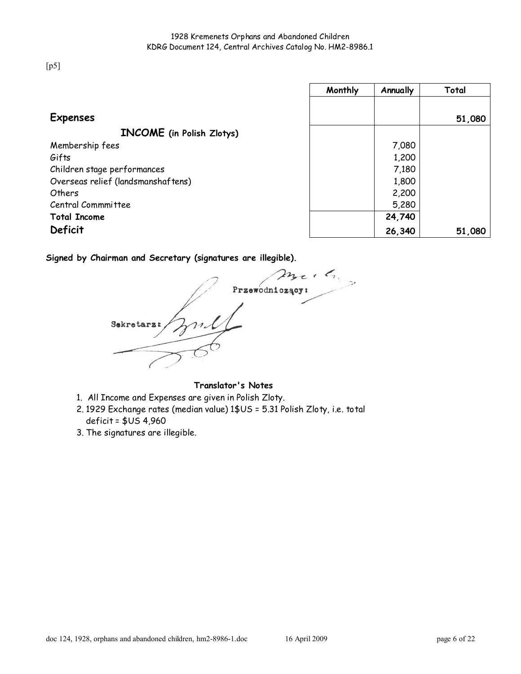[p5]

|                                    | Monthly | Annually | Total  |
|------------------------------------|---------|----------|--------|
|                                    |         |          |        |
| <b>Expenses</b>                    |         |          | 51,080 |
| <b>INCOME</b> (in Polish Zlotys)   |         |          |        |
| Membership fees                    |         | 7,080    |        |
| Gifts                              |         | 1,200    |        |
| Children stage performances        |         | 7,180    |        |
| Overseas relief (landsmanshaftens) |         | 1,800    |        |
| Others                             |         | 2,200    |        |
| Central Commmittee                 |         | 5,280    |        |
| <b>Total Income</b>                |         | 24,740   |        |
| Deficit                            |         | 26,340   | 51,080 |

Signed by Chairman and Secretary (signatures are illegible).

 $m_{\tau}$ ,  $\zeta$ Przewodniczący:  $\frac{1}{\sqrt{2}}$ Sekretarz:

Translator's Notes

- 1. All Income and Expenses are given in Polish Zloty.
- 2. 1929 Exchange rates (median value) 1\$US = 5.31 Polish Zloty, i.e. total deficit = \$US 4,960
- 3. The signatures are illegible.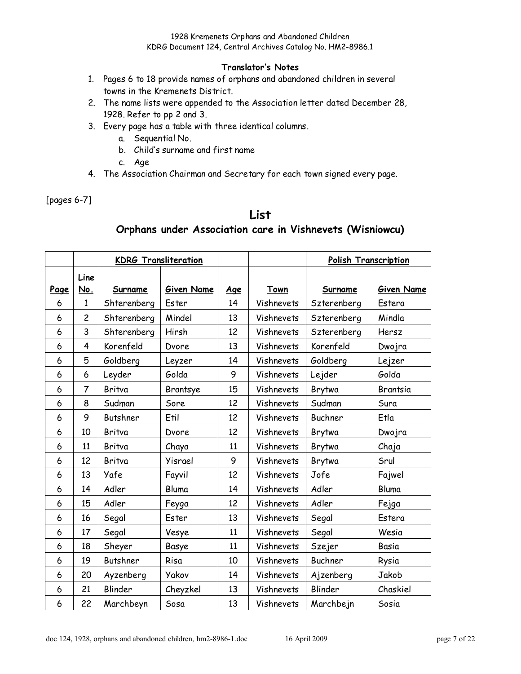#### Translator's Notes

- 1. Pages 6 to 18 provide names of orphans and abandoned children in several towns in the Kremenets District.
- 2. The name lists were appended to the Association letter dated December 28, 1928. Refer to pp 2 and 3.
- 3. Every page has a table with three identical columns.
	- a. Sequential No.
	- b. Child's surname and first name
	- c. Age
- 4. The Association Chairman and Secretary for each town signed every page.

[pages 6-7]

# List

### Orphans under Association care in Vishnevets (Wisniowcu)

|      |                | <b>KDRG Transliteration</b> |                   |            |            | <b>Polish Transcription</b> |                   |
|------|----------------|-----------------------------|-------------------|------------|------------|-----------------------------|-------------------|
| Page | Line<br>No.    | Surname                     | <b>Given Name</b> | <u>Age</u> | Town       | Surname                     | <b>Given Name</b> |
| 6    | $\mathbf{1}$   | Shterenberg                 | Ester             | 14         | Vishnevets | Szterenberg                 | Estera            |
| 6    | $\overline{c}$ | Shterenberg                 | Mindel            | 13         | Vishnevets | Szterenberg                 | Mindla            |
| 6    | 3              | Shterenberg                 | Hirsh             | 12         | Vishnevets | Szterenberg                 | Hersz             |
| 6    | 4              | Korenfeld                   | Dvore             | 13         | Vishnevets | Korenfeld                   | Dwojra            |
| 6    | 5              | Goldberg                    | Leyzer            | 14         | Vishnevets | Goldberg                    | Lejzer            |
| 6    | 6              | Leyder                      | Golda             | 9          | Vishnevets | Lejder                      | Golda             |
| 6    | $\overline{7}$ | Britva                      | Brantsye          | 15         | Vishnevets | Brytwa                      | <b>Brantsia</b>   |
| 6    | 8              | Sudman                      | Sore              | 12         | Vishnevets | Sudman                      | Sura              |
| 6    | 9              | <b>Butshner</b>             | Etil              | 12         | Vishnevets | Buchner                     | Etla              |
| 6    | 10             | Britva                      | <b>Dvore</b>      | 12         | Vishnevets | Brytwa                      | <b>Dwojra</b>     |
| 6    | 11             | Britva                      | Chaya             | 11         | Vishnevets | Brytwa                      | Chaja             |
| 6    | 12             | Britva                      | Yisrael           | 9          | Vishnevets | Brytwa                      | Srul              |
| 6    | 13             | Yafe                        | Fayvil            | 12         | Vishnevets | Jofe                        | Fajwel            |
| 6    | 14             | Adler                       | Bluma             | 14         | Vishnevets | Adler                       | Bluma             |
| 6    | 15             | Adler                       | Feyga             | 12         | Vishnevets | Adler                       | Fejga             |
| 6    | 16             | Segal                       | Ester             | 13         | Vishnevets | Segal                       | Estera            |
| 6    | 17             | Segal                       | Vesye             | 11         | Vishnevets | Segal                       | Wesia             |
| 6    | 18             | Sheyer                      | Basye             | 11         | Vishnevets | Szejer                      | Basia             |
| 6    | 19             | <b>Butshner</b>             | Risa              | 10         | Vishnevets | <b>Buchner</b>              | Rysia             |
| 6    | 20             | Ayzenberg                   | <b>Yakov</b>      | 14         | Vishnevets | Ajzenberg                   | Jakob             |
| 6    | 21             | Blinder                     | Cheyzkel          | 13         | Vishnevets | Blinder                     | Chaskiel          |
| 6    | 22             | Marchbeyn                   | Sosa              | 13         | Vishnevets | Marchbejn                   | Sosia             |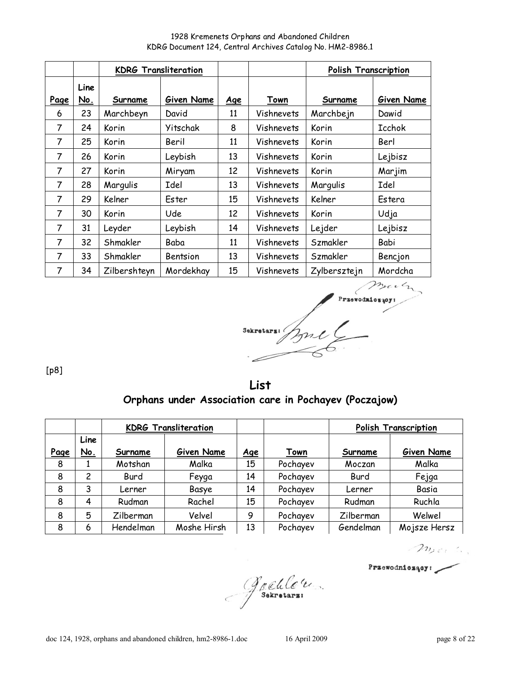1928 Kremenets Orphans and Abandoned Children KDRG Document 124, Central Archives Catalog No. HM2-8986.1

|                |             | <b>KDRG Transliteration</b> |            |            |             | <b>Polish Transcription</b> |            |
|----------------|-------------|-----------------------------|------------|------------|-------------|-----------------------------|------------|
| Page           | Line<br>No. | Surname                     | Given Name | <u>Age</u> | <b>Town</b> | Surname                     | Given Name |
| 6              | 23          | Marchbeyn                   | David      | 11         | Vishnevets  | Marchbejn                   | Dawid      |
| 7              | 24          | Korin                       | Yitschak   | 8          | Vishnevets  | Korin                       | Icchok     |
| 7              | 25          | Korin                       | Beril      | 11         | Vishnevets  | Korin                       | Berl       |
| 7              | 26          | Korin                       | Leybish    | 13         | Vishnevets  | Korin                       | Lejbisz    |
| 7              | 27          | Korin                       | Miryam     | 12         | Vishnevets  | Korin                       | Marjim     |
| 7              | 28          | Margulis                    | Idel       | 13         | Vishnevets  | Margulis                    | Idel       |
| 7              | 29          | Kelner                      | Ester      | 15         | Vishnevets  | Kelner                      | Estera     |
| 7              | 30          | Korin                       | Ude        | 12         | Vishnevets  | Korin                       | Udja       |
| 7              | 31          | Leyder                      | Leybish    | 14         | Vishnevets  | Lejder                      | Lejbisz    |
| $\overline{7}$ | 32          | Shmakler                    | Baba       | 11         | Vishnevets  | Szmakler                    | Babi       |
| 7              | 33          | Shmakler                    | Bentsion   | 13         | Vishnevets  | Szmakler                    | Bencjon    |
| 7              | 34          | Zilbershteyn                | Mordekhay  | 15         | Vishnevets  | Zylbersztejn                | Mordcha    |

Przewodzioszopi Sekretars

[p8]

List Orphans under Association care in Pochayev (Poczajow)

|      |                    |           | <b>KDRG Transliteration</b> |            |             | <b>Polish Transcription</b> |              |  |
|------|--------------------|-----------|-----------------------------|------------|-------------|-----------------------------|--------------|--|
| Page | Line<br><u>No.</u> | Surname   | Given Name                  | <u>Age</u> | <u>Town</u> | Surname                     | Given Name   |  |
| 8    |                    | Motshan   | Malka                       | 15         | Pochayev    | Moczan                      | Malka        |  |
| 8    | 2                  | Burd      | Feyga                       | 14         | Pochayev    | Burd                        | Fejga        |  |
| 8    | 3                  | Lerner    | Basye                       | 14         | Pochayev    | Lerner                      | Basia        |  |
| 8    | 4                  | Rudman    | Rachel                      | 15         | Pochayev    | Rudman                      | Ruchla       |  |
| 8    | 5                  | Zilberman | Velvel                      | 9          | Pochayev    | Zilberman                   | Welwel       |  |
| 8    | 6                  | Hendelman | Moshe Hirsh                 | 13         | Pochayev    | Gendelman                   | Mojsze Hersz |  |

Mer 2

Przewodniczący:

Greule (1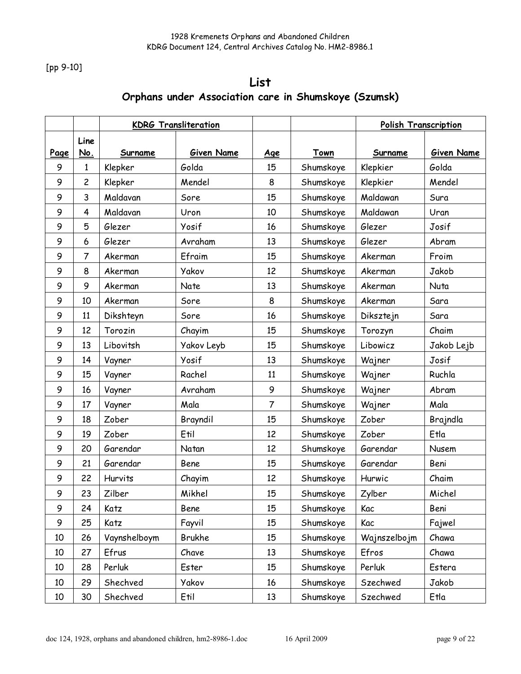[pp 9-10]

# List Orphans under Association care in Shumskoye (Szumsk)

|      |                |              | <b>KDRG Transliteration</b> |                |           | Polish Transcription |            |
|------|----------------|--------------|-----------------------------|----------------|-----------|----------------------|------------|
| Page | Line<br>No.    | Surname      | Given Name                  | <u>Age</u>     | Town      | Surname              | Given Name |
| 9    | 1              | Klepker      | Golda                       | 15             | Shumskoye | Klepkier             | Golda      |
| 9    | $\overline{c}$ | Klepker      | Mendel                      | 8              | Shumskoye | Klepkier             | Mendel     |
| 9    | 3              | Maldavan     | Sore                        | 15             | Shumskoye | Maldawan             | Sura       |
| 9    | 4              | Maldavan     | Uron                        | 10             | Shumskoye | Maldawan             | Uran       |
| 9    | 5              | Glezer       | Yosif                       | 16             | Shumskoye | Glezer               | Josif      |
| 9    | 6              | Glezer       | Avraham                     | 13             | Shumskoye | Glezer               | Abram      |
| 9    | 7              | Akerman      | Efraim                      | 15             | Shumskoye | Akerman              | Froim      |
| 9    | 8              | Akerman      | <b>Yakov</b>                | 12             | Shumskoye | Akerman              | Jakob      |
| 9    | 9              | Akerman      | Nate                        | 13             | Shumskoye | Akerman              | Nuta       |
| 9    | 10             | Akerman      | Sore                        | 8              | Shumskoye | Akerman              | Sara       |
| 9    | 11             | Dikshteyn    | Sore                        | 16             | Shumskoye | <b>Diksztejn</b>     | Sara       |
| 9    | 12             | Torozin      | Chayim                      | 15             | Shumskoye | Torozyn              | Chaim      |
| 9    | 13             | Libovitsh    | <b>Yakov Leyb</b>           | 15             | Shumskoye | Libowicz             | Jakob Lejb |
| 9    | 14             | Vayner       | Yosif                       | 13             | Shumskoye | Wajner               | Josif      |
| 9    | 15             | Vayner       | Rachel                      | 11             | Shumskoye | Wajner               | Ruchla     |
| 9    | 16             | Vayner       | Avraham                     | 9              | Shumskoye | Wajner               | Abram      |
| 9    | 17             | Vayner       | Mala                        | $\overline{7}$ | Shumskoye | Wajner               | Mala       |
| 9    | 18             | Zober        | Brayndil                    | 15             | Shumskoye | Zober                | Brajndla   |
| 9    | 19             | Zober        | Etil                        | 12             | Shumskoye | Zober                | Etla       |
| 9    | 20             | Garendar     | Natan                       | 12             | Shumskoye | Garendar             | Nusem      |
| 9    | 21             | Garendar     | Bene                        | 15             | Shumskoye | Garendar             | Beni       |
| 9    | 22             | Hurvits      | Chayim                      | 12             | Shumskoye | Hurwic               | Chaim      |
| 9    | 23             | Zilber       | Mikhel                      | 15             | Shumskoye | Zylber               | Michel     |
| 9    | 24             | Katz         | Bene                        | 15             | Shumskoye | Kac                  | Beni       |
| 9    | 25             | Katz         | Fayvil                      | 15             | Shumskoye | Kac                  | Fajwel     |
| 10   | 26             | Vaynshelboym | Brukhe                      | 15             | Shumskoye | Wajnszelbojm         | Chawa      |
| 10   | 27             | Efrus        | Chave                       | 13             | Shumskoye | Efros                | Chawa      |
| 10   | 28             | Perluk       | Ester                       | 15             | Shumskoye | Perluk               | Estera     |
| 10   | 29             | Shechved     | <b>Yakov</b>                | 16             | Shumskoye | Szechwed             | Jakob      |
| 10   | 30             | Shechved     | Etil                        | 13             | Shumskoye | Szechwed             | Etla       |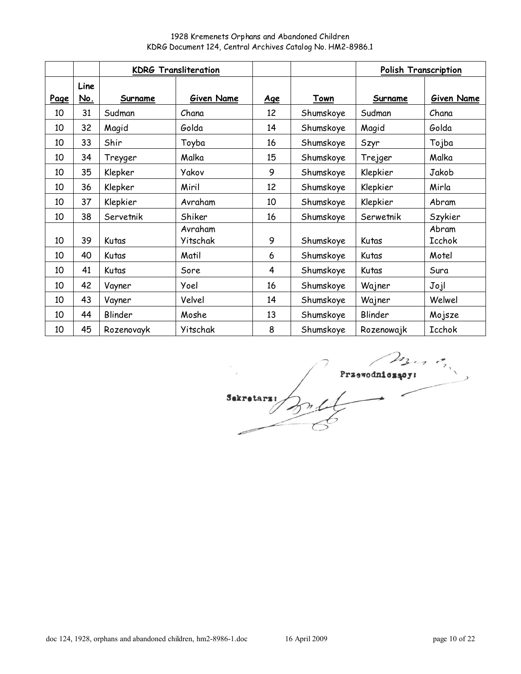|      |             | <b>KDRG Transliteration</b> |                     |            |           | Polish Transcription |                 |
|------|-------------|-----------------------------|---------------------|------------|-----------|----------------------|-----------------|
| Page | Line<br>No. | Surname                     | Given Name          | <u>Age</u> | Town      | Surname              | Given Name      |
| 10   | 31          | Sudman                      | Chana               | 12         | Shumskoye | Sudman               | Chana           |
| 10   | 32          | Magid                       | Golda               | 14         | Shumskoye | Magid                | Golda           |
| 10   | 33          | Shir                        | Toyba               | 16         | Shumskoye | Szyr                 | Tojba           |
| 10   | 34          | Treyger                     | Malka               | 15         | Shumskoye | Trejger              | Malka           |
| 10   | 35          | Klepker                     | Yakov               | 9          | Shumskoye | Klepkier             | Jakob           |
| 10   | 36          | Klepker                     | Miril               | 12         | Shumskoye | Klepkier             | Mirla           |
| 10   | 37          | Klepkier                    | Avraham             | 10         | Shumskoye | Klepkier             | Abram           |
| 10   | 38          | Servetnik                   | Shiker              | 16         | Shumskoye | Serwetnik            | Szykier         |
| 10   | 39          | Kutas                       | Avraham<br>Yitschak | 9          | Shumskoye | Kutas                | Abram<br>Icchok |
| 10   | 40          | Kutas                       | Matil               | 6          | Shumskoye | Kutas                | Motel           |
| 10   | 41          | Kutas                       | Sore                | 4          | Shumskoye | Kutas                | Sura            |
| 10   | 42          | Vayner                      | Yoel                | 16         | Shumskoye | Wajner               | Jojl            |
| 10   | 43          | Vayner                      | Velvel              | 14         | Shumskoye | Wajner               | Welwel          |
| 10   | 44          | Blinder                     | Moshe               | 13         | Shumskoye | Blinder              | Mojsze          |
| 10   | 45          | Rozenovayk                  | Yitschak            | 8          | Shumskoye | Rozenowajk           | Icchok          |

 $\sum_{\lambda}$ Sekretarz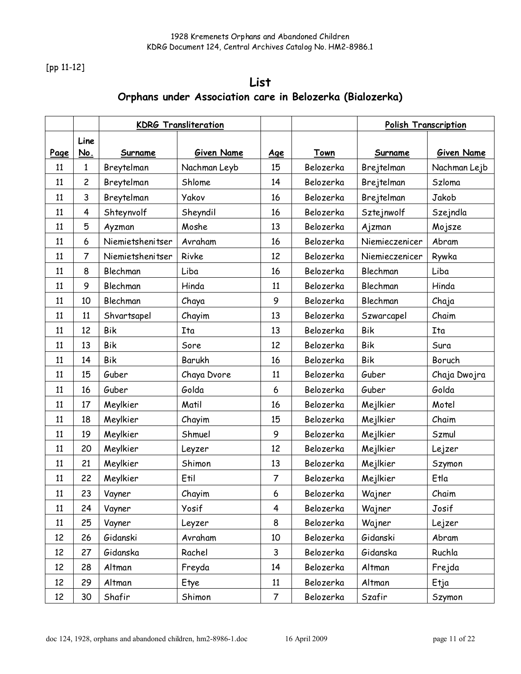[pp 11-12]

# List Orphans under Association care in Belozerka (Bialozerka)

|      |                | <b>KDRG Transliteration</b> |              |                |           | <b>Polish Transcription</b> |              |
|------|----------------|-----------------------------|--------------|----------------|-----------|-----------------------------|--------------|
|      | Line           |                             |              |                |           |                             |              |
| Page | No.            | Surname                     | Given Name   | <u>Age</u>     | Town      | Surname                     | Given Name   |
| 11   | 1              | Breytelman                  | Nachman Leyb | 15             | Belozerka | Brejtelman                  | Nachman Lejb |
| 11   | $\overline{c}$ | Breytelman                  | Shlome       | 14             | Belozerka | Brejtelman                  | Szloma       |
| 11   | 3              | Breytelman                  | Yakov        | 16             | Belozerka | Brejtelman                  | Jakob        |
| 11   | 4              | Shteynvolf                  | Sheyndil     | 16             | Belozerka | Sztejnwolf                  | Szejndla     |
| 11   | 5              | Ayzman                      | Moshe        | 13             | Belozerka | Ajzman                      | Mojsze       |
| 11   | 6              | Niemietshenitser            | Avraham      | 16             | Belozerka | Niemieczenicer              | Abram        |
| 11   | 7              | Niemietshenitser            | Rivke        | 12             | Belozerka | Niemieczenicer              | Rywka        |
| 11   | 8              | Blechman                    | Liba         | 16             | Belozerka | Blechman                    | Liba         |
| 11   | 9              | Blechman                    | Hinda        | 11             | Belozerka | Blechman                    | Hinda        |
| 11   | 10             | Blechman                    | Chaya        | 9              | Belozerka | Blechman                    | Chaja        |
| 11   | 11             | Shvartsapel                 | Chayim       | 13             | Belozerka | Szwarcapel                  | Chaim        |
| 11   | 12             | <b>Bik</b>                  | Ita          | 13             | Belozerka | <b>Bik</b>                  | Ita          |
| 11   | 13             | <b>Bik</b>                  | Sore         | 12             | Belozerka | <b>Bik</b>                  | Sura         |
| 11   | 14             | <b>Bik</b>                  | Barukh       | 16             | Belozerka | <b>Bik</b>                  | Boruch       |
| 11   | 15             | Guber                       | Chaya Dvore  | 11             | Belozerka | Guber                       | Chaja Dwojra |
| 11   | 16             | Guber                       | Golda        | 6              | Belozerka | Guber                       | Golda        |
| 11   | 17             | Meylkier                    | Matil        | 16             | Belozerka | Mejlkier                    | Motel        |
| 11   | 18             | Meylkier                    | Chayim       | 15             | Belozerka | Mejlkier                    | Chaim        |
| 11   | 19             | Meylkier                    | Shmuel       | 9              | Belozerka | Mejlkier                    | Szmul        |
| 11   | 20             | Meylkier                    | Leyzer       | 12             | Belozerka | Mejlkier                    | Lejzer       |
| 11   | 21             | Meylkier                    | Shimon       | 13             | Belozerka | Mejlkier                    | Szymon       |
| 11   | 22             | Meylkier                    | Etil         | $\overline{7}$ | Belozerka | Mejlkier                    | Etla         |
| 11   | 23             | Vayner                      | Chayim       | 6              | Belozerka | Wajner                      | Chaim        |
| 11   | 24             | Vayner                      | Yosif        | 4              | Belozerka | Wajner                      | Josif        |
| 11   | 25             | Vayner                      | Leyzer       | 8              | Belozerka | Wajner                      | Lejzer       |
| 12   | 26             | Gidanski                    | Avraham      | 10             | Belozerka | Gidanski                    | Abram        |
| 12   | 27             | Gidanska                    | Rachel       | 3              | Belozerka | Gidanska                    | Ruchla       |
| 12   | 28             | Altman                      | Freyda       | 14             | Belozerka | Altman                      | Frejda       |
| 12   | 29             | Altman                      | Etye         | 11             | Belozerka | Altman                      | Etja         |
| 12   | 30             | Shafir                      | Shimon       | $\overline{7}$ | Belozerka | Szafir                      | Szymon       |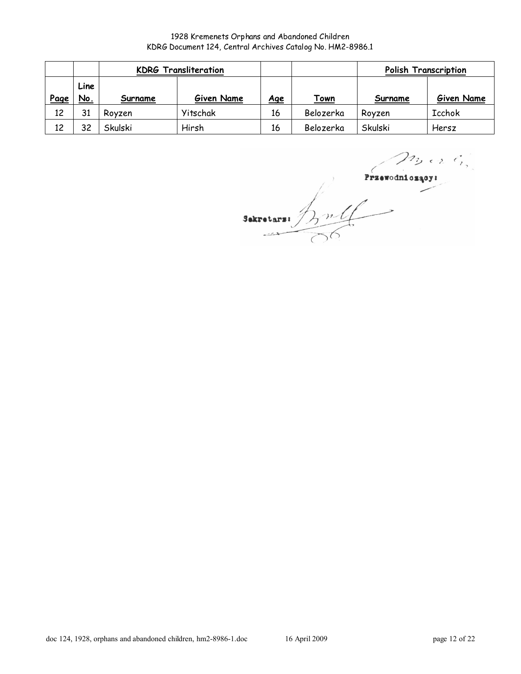|      |                    | <b>KDRG Transliteration</b> |          |            |             | <b>Polish Transcription</b> |               |
|------|--------------------|-----------------------------|----------|------------|-------------|-----------------------------|---------------|
| Page | Line<br><u>No.</u> | Given Name<br>Surname       |          | <u>Age</u> | <u>Town</u> | Surname                     | Given Name    |
| 12   | 31                 | Rovzen                      | Yitschak | 16         | Belozerka   | Rovzen                      | <b>Icchok</b> |
| 12   | 32                 | Skulski                     | Hirsh    | 16         | Belozerka   | Skulski                     | Hersz         |

 $n_{1}$  or  $\ell_{i_{1}}^{+}$ Przewodniczący:

 $\frac{P}{\sqrt{P}}$ Sekretars: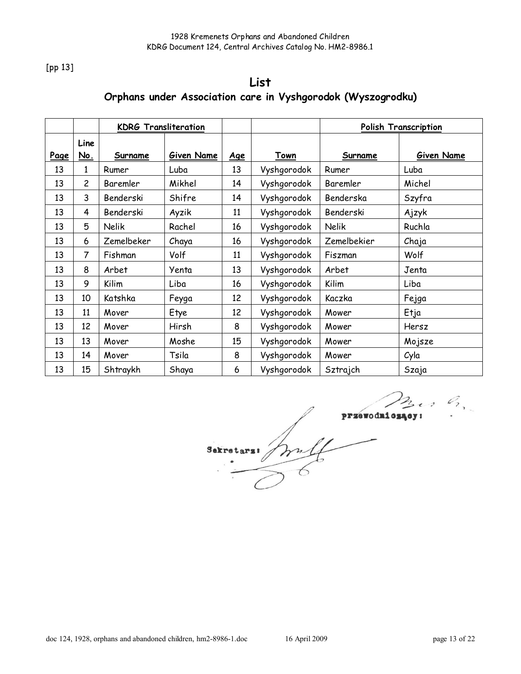[pp 13]

# List Orphans under Association care in Vyshgorodok (Wyszogrodku)

|      |                    | <b>KDRG Transliteration</b> |            |            |             | Polish Transcription |            |
|------|--------------------|-----------------------------|------------|------------|-------------|----------------------|------------|
| Page | Line<br><u>No.</u> | Surname                     | Given Name | <u>Age</u> | Town        | Surname              | Given Name |
| 13   | 1                  | Rumer                       | Luba       | 13         | Vyshgorodok | Rumer                | Luba       |
| 13   | $\overline{c}$     | Baremler                    | Mikhel     | 14         | Vyshgorodok | Baremler             | Michel     |
| 13   | 3                  | Benderski                   | Shifre     | 14         | Vyshgorodok | Benderska            | Szyfra     |
| 13   | 4                  | Benderski                   | Ayzik      | 11         | Vyshgorodok | Benderski            | Ajzyk      |
| 13   | 5                  | Nelik                       | Rachel     | 16         | Vyshgorodok | Nelik                | Ruchla     |
| 13   | 6                  | Zemelbeker                  | Chaya      | 16         | Vyshgorodok | Zemelbekier          | Chaja      |
| 13   | 7                  | Fishman                     | Volf       | 11         | Vyshgorodok | Fiszman              | Wolf       |
| 13   | 8                  | Arbet                       | Yenta      | 13         | Vyshgorodok | Arbet                | Jenta      |
| 13   | 9                  | Kilim                       | Liba       | 16         | Vyshgorodok | Kilim                | Liba       |
| 13   | 10                 | Katshka                     | Feyga      | 12         | Vyshgorodok | Kaczka               | Fejga      |
| 13   | 11                 | Mover                       | Etye       | 12         | Vyshgorodok | Mower                | Etja       |
| 13   | 12                 | Mover                       | Hirsh      | 8          | Vyshgorodok | Mower                | Hersz      |
| 13   | 13                 | Mover                       | Moshe      | 15         | Vyshgorodok | Mower                | Mojsze     |
| 13   | 14                 | Mover                       | Tsila      | 8          | Vyshgorodok | Mower                | Cyla       |
| 13   | 15                 | Shtraykh                    | Shaya      | 6          | Vyshgorodok | Sztrajch             | Szaja      |

przewodnios:  $\begin{array}{c}\n\sqrt{1-\frac{1}{2}} \\
\hline\n\end{array}$ Sekretars:  $\bigg)$  $\overline{\lambda}$ 

 $C_{2}$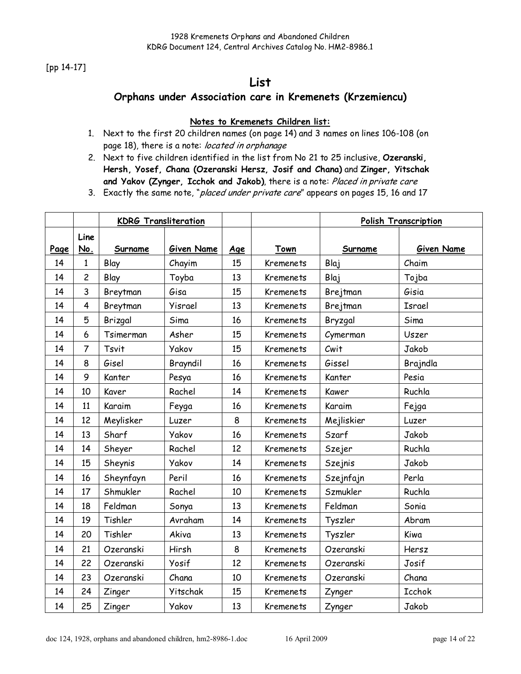[pp 14-17]

# List

### Orphans under Association care in Kremenets (Krzemiencu)

### Notes to Kremenets Children list:

- 1. Next to the first 20 children names (on page 14) and 3 names on lines 106-108 (on page 18), there is a note: located in orphanage
- 2. Next to five children identified in the list from No 21 to 25 inclusive, Ozeranski, Hersh, Yosef, Chana (Ozeranski Hersz, Josif and Chana) and Zinger, Yitschak and Yakov (Zynger, Icchok and Jakob), there is a note: Placed in private care

3. Exactly the same note, "placed under private care" appears on pages 15, 16 and 17

|      |                         | <b>KDRG Transliteration</b> |              |     |                  | <b>Polish Transcription</b> |               |
|------|-------------------------|-----------------------------|--------------|-----|------------------|-----------------------------|---------------|
| Page | Line<br>No.             | Surname                     | Given Name   | Age | Town             | Surname                     | Given Name    |
| 14   | 1                       | Blay                        | Chayim       | 15  | <b>Kremenets</b> | Blaj                        | Chaim         |
| 14   | $\overline{\mathsf{c}}$ | Blay                        | Toyba        | 13  | Kremenets        | Blaj                        | Tojba         |
| 14   | 3                       | Breytman                    | Gisa         | 15  | Kremenets        | Brejtman                    | Gisia         |
| 14   | 4                       | Breytman                    | Yisrael      | 13  | <b>Kremenets</b> | Brejtman                    | Israel        |
| 14   | 5                       | Brizgal                     | Sima         | 16  | Kremenets        | Bryzgal                     | Sima          |
| 14   | 6                       | Tsimerman                   | Asher        | 15  | Kremenets        | Cymerman                    | Uszer         |
| 14   | 7                       | Tsvit                       | Yakov        | 15  | Kremenets        | Cwit                        | Jakob         |
| 14   | 8                       | Gisel                       | Brayndil     | 16  | Kremenets        | Gissel                      | Brajndla      |
| 14   | 9                       | Kanter                      | Pesya        | 16  | <b>Kremenets</b> | Kanter                      | Pesia         |
| 14   | 10                      | Kaver                       | Rachel       | 14  | Kremenets        | Kawer                       | Ruchla        |
| 14   | 11                      | Karaim                      | Feyga        | 16  | <b>Kremenets</b> | Karaim                      | Fejga         |
| 14   | 12                      | Meylisker                   | Luzer        | 8   | Kremenets        | Mejliskier                  | Luzer         |
| 14   | 13                      | Sharf                       | Yakov        | 16  | <b>Kremenets</b> | Szarf                       | Jakob         |
| 14   | 14                      | Sheyer                      | Rachel       | 12  | Kremenets        | Szejer                      | Ruchla        |
| 14   | 15                      | Sheynis                     | <b>Yakov</b> | 14  | Kremenets        | <b>Szejnis</b>              | Jakob         |
| 14   | 16                      | Sheynfayn                   | Peril        | 16  | <b>Kremenets</b> | Szejnfajn                   | Perla         |
| 14   | 17                      | Shmukler                    | Rachel       | 10  | Kremenets        | Szmukler                    | Ruchla        |
| 14   | 18                      | Feldman                     | Sonya        | 13  | Kremenets        | Feldman                     | Sonia         |
| 14   | 19                      | Tishler                     | Avraham      | 14  | Kremenets        | Tyszler                     | Abram         |
| 14   | 20                      | Tishler                     | Akiva        | 13  | Kremenets        | Tyszler                     | Kiwa          |
| 14   | 21                      | Ozeranski                   | Hirsh        | 8   | Kremenets        | Ozeranski                   | Hersz         |
| 14   | 22                      | Ozeranski                   | Yosif        | 12  | Kremenets        | Ozeranski                   | Josif         |
| 14   | 23                      | Ozeranski                   | Chana        | 10  | Kremenets        | Ozeranski                   | Chana         |
| 14   | 24                      | Zinger                      | Yitschak     | 15  | Kremenets        | Zynger                      | <b>Icchok</b> |
| 14   | 25                      | Zinger                      | Yakov        | 13  | Kremenets        | Zynger                      | Jakob         |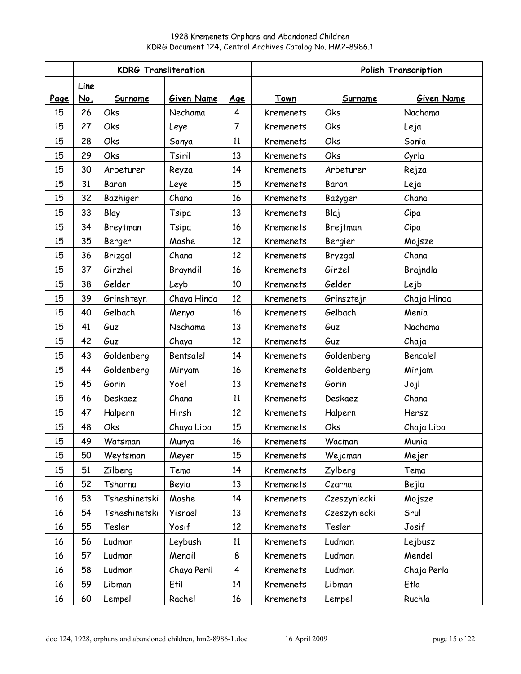|      |      | <b>KDRG Transliteration</b> |             |                |                  | <b>Polish Transcription</b> |             |
|------|------|-----------------------------|-------------|----------------|------------------|-----------------------------|-------------|
|      | Line |                             |             |                |                  |                             |             |
| Page | No.  | Surname                     | Given Name  | Age            | Town             | Surname                     | Given Name  |
| 15   | 26   | Oks                         | Nechama     | 4              | Kremenets        | Oks                         | Nachama     |
| 15   | 27   | Oks                         | Leye        | $\overline{7}$ | Kremenets        | Oks                         | Leja        |
| 15   | 28   | Oks                         | Sonya       | 11             | Kremenets        | Oks                         | Sonia       |
| 15   | 29   | Oks                         | Tsiril      | 13             | Kremenets        | Oks                         | Cyrla       |
| 15   | 30   | Arbeturer                   | Reyza       | 14             | Kremenets        | Arbeturer                   | Rejza       |
| 15   | 31   | Baran                       | Leye        | 15             | Kremenets        | Baran                       | Leja        |
| 15   | 32   | Bazhiger                    | Chana       | 16             | <b>Kremenets</b> | Bażyger                     | Chana       |
| 15   | 33   | Blay                        | Tsipa       | 13             | Kremenets        | Blaj                        | Cipa        |
| 15   | 34   | Breytman                    | Tsipa       | 16             | Kremenets        | Brejtman                    | $C$ ipa     |
| 15   | 35   | Berger                      | Moshe       | 12             | <b>Kremenets</b> | Bergier                     | Mojsze      |
| 15   | 36   | Brizgal                     | Chana       | 12             | Kremenets        | Bryzgal                     | Chana       |
| 15   | 37   | Girzhel                     | Brayndil    | 16             | <b>Kremenets</b> | Girżel                      | Brajndla    |
| 15   | 38   | Gelder                      | Leyb        | 10             | Kremenets        | Gelder                      | Lejb        |
| 15   | 39   | Grinshteyn                  | Chaya Hinda | 12             | Kremenets        | Grinsztejn                  | Chaja Hinda |
| 15   | 40   | Gelbach                     | Menya       | 16             | Kremenets        | Gelbach                     | Menia       |
| 15   | 41   | Guz                         | Nechama     | 13             | Kremenets        | Guz                         | Nachama     |
| 15   | 42   | Guz                         | Chaya       | 12             | Kremenets        | Guz                         | Chaja       |
| 15   | 43   | Goldenberg                  | Bentsalel   | 14             | Kremenets        | Goldenberg                  | Bencalel    |
| 15   | 44   | Goldenberg                  | Miryam      | 16             | Kremenets        | Goldenberg                  | Mirjam      |
| 15   | 45   | Gorin                       | Yoel        | 13             | Kremenets        | Gorin                       | Jojl        |
| 15   | 46   | Deskaez                     | Chana       | 11             | Kremenets        | Deskaez                     | Chana       |
| 15   | 47   | Halpern                     | Hirsh       | 12             | Kremenets        | Halpern                     | Hersz       |
| 15   | 48   | Oks                         | Chaya Liba  | 15             | Kremenets        | Oks                         | Chaja Liba  |
| 15   | 49   | Watsman                     | Munya       | 16             | Kremenets        | Wacman                      | Munia       |
| 15   | 50   | Weytsman                    | Meyer       | 15             | Kremenets        | Wejcman                     | Mejer       |
| 15   | 51   | Zilberg                     | Tema        | 14             | Kremenets        | Zylberg                     | Tema        |
| 16   | 52   | Tsharna                     | Beyla       | 13             | Kremenets        | Czarna                      | Bejla       |
| 16   | 53   | Tsheshinetski               | Moshe       | 14             | Kremenets        | Czeszyniecki                | Mojsze      |
| 16   | 54   | Tsheshinetski               | Yisrael     | 13             | Kremenets        | Czeszyniecki                | Srul        |
| 16   | 55   | Tesler                      | Yosif       | 12             | Kremenets        | Tesler                      | Josif       |
| 16   | 56   | Ludman                      | Leybush     | 11             | Kremenets        | Ludman                      | Lejbusz     |
| 16   | 57   | Ludman                      | Mendil      | 8              | Kremenets        | Ludman                      | Mendel      |
| 16   | 58   | Ludman                      | Chaya Peril | 4              | Kremenets        | Ludman                      | Chaja Perla |
| 16   | 59   | Libman                      | Etil        | 14             | Kremenets        | Libman                      | Etla        |
| 16   | 60   | Lempel                      | Rachel      | 16             | Kremenets        | Lempel                      | Ruchla      |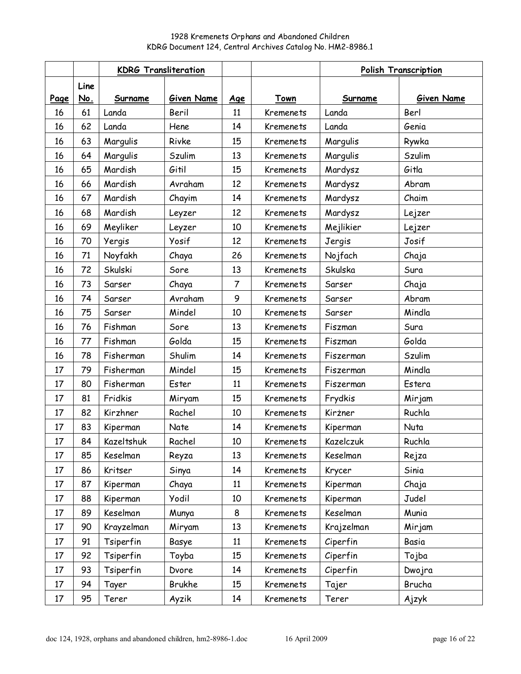|      |      | <b>KDRG Transliteration</b> |            |                |                  | <b>Polish Transcription</b> |               |
|------|------|-----------------------------|------------|----------------|------------------|-----------------------------|---------------|
|      | Line |                             |            |                |                  |                             |               |
| Page | No.  | Surname                     | Given Name | Age            | Town             | Surname                     | Given Name    |
| 16   | 61   | Landa                       | Beril      | 11             | Kremenets        | Landa                       | Berl          |
| 16   | 62   | Landa                       | Hene       | 14             | <b>Kremenets</b> | Landa                       | Genia         |
| 16   | 63   | Marqulis                    | Rivke      | 15             | Kremenets        | Margulis                    | Rywka         |
| 16   | 64   | Margulis                    | Szulim     | 13             | Kremenets        | Margulis                    | Szulim        |
| 16   | 65   | Mardish                     | Gitil      | 15             | Kremenets        | Mardysz                     | Gitla         |
| 16   | 66   | Mardish                     | Avraham    | 12             | Kremenets        | Mardysz                     | Abram         |
| 16   | 67   | Mardish                     | Chayim     | 14             | <b>Kremenets</b> | Mardysz                     | Chaim         |
| 16   | 68   | Mardish                     | Leyzer     | 12             | Kremenets        | Mardysz                     | Lejzer        |
| 16   | 69   | Meyliker                    | Leyzer     | 10             | Kremenets        | Mejlikier                   | Lejzer        |
| 16   | 70   | Yergis                      | Yosif      | 12             | Kremenets        | Jergis                      | Josif         |
| 16   | 71   | Noyfakh                     | Chaya      | 26             | <b>Kremenets</b> | Nojfach                     | Chaja         |
| 16   | 72   | Skulski                     | Sore       | 13             | <b>Kremenets</b> | Skulska                     | Sura          |
| 16   | 73   | Sarser                      | Chaya      | $\overline{7}$ | Kremenets        | Sarser                      | Chaja         |
| 16   | 74   | Sarser                      | Avraham    | 9              | Kremenets        | Sarser                      | Abram         |
| 16   | 75   | Sarser                      | Mindel     | 10             | Kremenets        | Sarser                      | Mindla        |
| 16   | 76   | Fishman                     | Sore       | 13             | Kremenets        | Fiszman                     | Sura          |
| 16   | 77   | Fishman                     | Golda      | 15             | Kremenets        | Fiszman                     | Golda         |
| 16   | 78   | Fisherman                   | Shulim     | 14             | Kremenets        | Fiszerman                   | <b>Szulim</b> |
| 17   | 79   | Fisherman                   | Mindel     | 15             | Kremenets        | Fiszerman                   | Mindla        |
| 17   | 80   | Fisherman                   | Ester      | 11             | <b>Kremenets</b> | Fiszerman                   | Estera        |
| 17   | 81   | Fridkis                     | Miryam     | 15             | Kremenets        | Frydkis                     | Mirjam        |
| 17   | 82   | Kirzhner                    | Rachel     | 10             | Kremenets        | Kirżner                     | Ruchla        |
| 17   | 83   | Kiperman                    | Nate       | 14             | Kremenets        | Kiperman                    | Nuta          |
| 17   | 84   | Kazeltshuk                  | Rachel     | 10             | Kremenets        | Kazelczuk                   | Ruchla        |
| 17   | 85   | Keselman                    | Reyza      | 13             | Kremenets        | Keselman                    | Rejza         |
| 17   | 86   | Kritser                     | Sinya      | 14             | Kremenets        | Krycer                      | Sinia         |
| 17   | 87   | Kiperman                    | Chaya      | 11             | Kremenets        | Kiperman                    | Chaja         |
| 17   | 88   | Kiperman                    | Yodil      | 10             | Kremenets        | Kiperman                    | Judel         |
| 17   | 89   | Keselman                    | Munya      | 8              | Kremenets        | Keselman                    | Munia         |
| 17   | 90   | Krayzelman                  | Miryam     | 13             | Kremenets        | Krajzelman                  | Mirjam        |
| 17   | 91   | Tsiperfin                   | Basye      | 11             | Kremenets        | Ciperfin                    | Basia         |
| 17   | 92   | Tsiperfin                   | Toyba      | 15             | Kremenets        | Ciperfin                    | Tojba         |
| 17   | 93   | Tsiperfin                   | Dvore      | 14             | Kremenets        | Ciperfin                    | Dwojra        |
| 17   | 94   | Tayer                       | Brukhe     | 15             | Kremenets        | Tajer                       | Brucha        |
| 17   | 95   | Terer                       | Ayzik      | 14             | Kremenets        | Terer                       | Ajzyk         |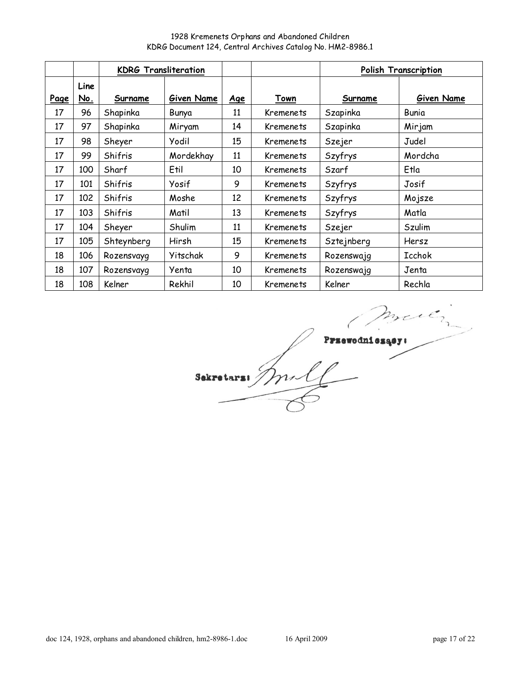1928 Kremenets Orphans and Abandoned Children KDRG Document 124, Central Archives Catalog No. HM2-8986.1

|             |             | <b>KDRG Transliteration</b> |            |            |           | <b>Polish Transcription</b> |            |
|-------------|-------------|-----------------------------|------------|------------|-----------|-----------------------------|------------|
| <u>Page</u> | Line<br>No. | Surname                     | Given Name | <u>Age</u> | Town      | <b>Surname</b>              | Given Name |
| 17          | 96          | Shapinka                    | Bunya      | 11         | Kremenets | Szapinka                    | Bunia      |
| 17          | 97          | Shapinka                    | Miryam     | 14         | Kremenets | Szapinka                    | Mirjam     |
| 17          | 98          | Sheyer                      | Yodil      | 15         | Kremenets | Szejer                      | Judel      |
| 17          | 99          | Shifris                     | Mordekhay  | 11         | Kremenets | Szyfrys                     | Mordcha    |
| 17          | 100         | Sharf                       | Etil       | 10         | Kremenets | Szarf                       | Etla       |
| 17          | 101         | Shifris                     | Yosif      | 9          | Kremenets | Szyfrys                     | Josif      |
| 17          | 102         | Shifris                     | Moshe      | 12         | Kremenets | Szyfrys                     | Mojsze     |
| 17          | 103         | Shifris                     | Matil      | 13         | Kremenets | Szyfrys                     | Matla      |
| 17          | 104         | Sheyer                      | Shulim     | 11         | Kremenets | Szejer                      | Szulim     |
| 17          | 105         | Shteynberg                  | Hirsh      | 15         | Kremenets | Sztejnberg                  | Hersz      |
| 18          | 106         | Rozensvayg                  | Yitschak   | 9          | Kremenets | Rozenswajg                  | Icchok     |
| 18          | 107         | Rozensvayg                  | Yenta      | 10         | Kremenets | Rozenswajq                  | Jenta      |
| 18          | 108         | Kelner                      | Rekhil     | 10         | Kremenets | Kelner                      | Rechla     |

mill modulosque Sekretars: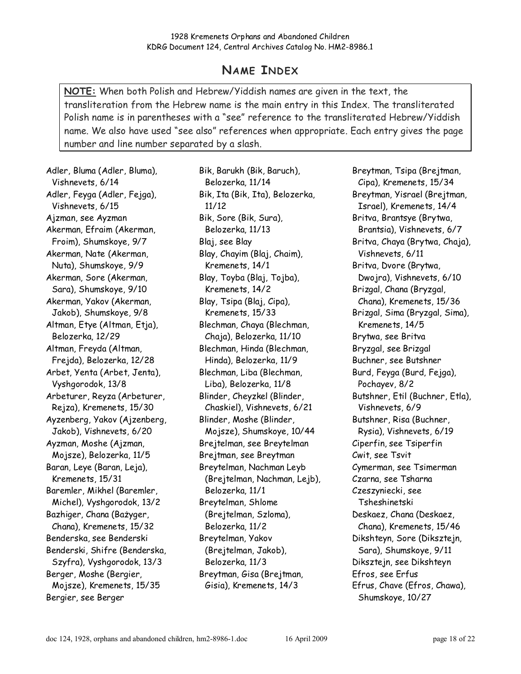## NAME INDEX

NOTE: When both Polish and Hebrew/Yiddish names are given in the text, the transliteration from the Hebrew name is the main entry in this Index. The transliterated Polish name is in parentheses with a "see" reference to the transliterated Hebrew/Yiddish name. We also have used "see also" references when appropriate. Each entry gives the page number and line number separated by a slash.

Adler, Bluma (Adler, Bluma), Vishnevets, 6/14 Adler, Feyga (Adler, Fejga), Vishnevets, 6/15 Ajzman, see Ayzman Akerman, Efraim (Akerman, Froim), Shumskoye, 9/7 Akerman, Nate (Akerman, Nuta), Shumskoye, 9/9 Akerman, Sore (Akerman, Sara), Shumskoye, 9/10 Akerman, Yakov (Akerman, Jakob), Shumskoye, 9/8 Altman, Etye (Altman, Etja), Belozerka, 12/29 Altman, Freyda (Altman, Frejda), Belozerka, 12/28 Arbet, Yenta (Arbet, Jenta), Vyshgorodok, 13/8 Arbeturer, Reyza (Arbeturer, Rejza), Kremenets, 15/30 Ayzenberg, Yakov (Ajzenberg, Jakob), Vishnevets, 6/20 Ayzman, Moshe (Ajzman, Mojsze), Belozerka, 11/5 Baran, Leye (Baran, Leja), Kremenets, 15/31 Baremler, Mikhel (Baremler, Michel), Vyshgorodok, 13/2 Bazhiger, Chana (Bażyger, Chana), Kremenets, 15/32 Benderska, see Benderski Benderski, Shifre (Benderska, Szyfra), Vyshgorodok, 13/3 Berger, Moshe (Bergier, Mojsze), Kremenets, 15/35 Bergier, see Berger

Bik, Barukh (Bik, Baruch), Belozerka, 11/14 Bik, Ita (Bik, Ita), Belozerka, 11/12 Bik, Sore (Bik, Sura), Belozerka, 11/13 Blaj, see Blay Blay, Chayim (Blaj, Chaim), Kremenets, 14/1 Blay, Toyba (Blaj, Tojba), Kremenets, 14/2 Blay, Tsipa (Blaj, Cipa), Kremenets, 15/33 Blechman, Chaya (Blechman, Chaja), Belozerka, 11/10 Blechman, Hinda (Blechman, Hinda), Belozerka, 11/9 Blechman, Liba (Blechman, Liba), Belozerka, 11/8 Blinder, Cheyzkel (Blinder, Chaskiel), Vishnevets, 6/21 Blinder, Moshe (Blinder, Mojsze), Shumskoye, 10/44 Brejtelman, see Breytelman Brejtman, see Breytman Breytelman, Nachman Leyb (Brejtelman, Nachman, Lejb), Belozerka, 11/1 Breytelman, Shlome (Brejtelman, Szloma), Belozerka, 11/2 Breytelman, Yakov (Brejtelman, Jakob), Belozerka, 11/3 Breytman, Gisa (Brejtman, Gisia), Kremenets, 14/3

Breytman, Tsipa (Brejtman, Cipa), Kremenets, 15/34 Breytman, Yisrael (Brejtman, Israel), Kremenets, 14/4 Britva, Brantsye (Brytwa, Brantsia), Vishnevets, 6/7 Britva, Chaya (Brytwa, Chaja), Vishnevets, 6/11 Britva, Dvore (Brytwa, Dwojra), Vishnevets, 6/10 Brizgal, Chana (Bryzgal, Chana), Kremenets, 15/36 Brizgal, Sima (Bryzgal, Sima), Kremenets, 14/5 Brytwa, see Britva Bryzgal, see Brizgal Buchner, see Butshner Burd, Feyga (Burd, Fejga), Pochayev, 8/2 Butshner, Etil (Buchner, Etla), Vishnevets, 6/9 Butshner, Risa (Buchner, Rysia), Vishnevets, 6/19 Ciperfin, see Tsiperfin Cwit, see Tsvit Cymerman, see Tsimerman Czarna, see Tsharna Czeszyniecki, see Tsheshinetski Deskaez, Chana (Deskaez, Chana), Kremenets, 15/46 Dikshteyn, Sore (Diksztejn, Sara), Shumskoye, 9/11 Diksztejn, see Dikshteyn Efros, see Erfus Efrus, Chave (Efros, Chawa), Shumskoye, 10/27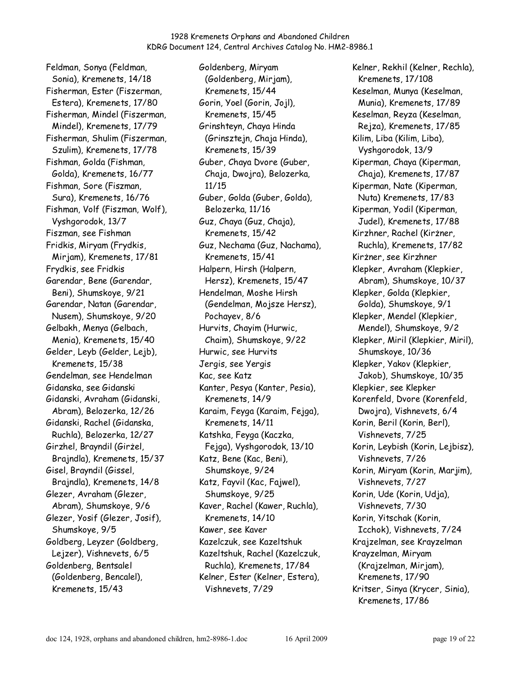Feldman, Sonya (Feldman, Sonia), Kremenets, 14/18 Fisherman, Ester (Fiszerman, Estera), Kremenets, 17/80 Fisherman, Mindel (Fiszerman, Mindel), Kremenets, 17/79 Fisherman, Shulim (Fiszerman, Szulim), Kremenets, 17/78 Fishman, Golda (Fishman, Golda), Kremenets, 16/77 Fishman, Sore (Fiszman, Sura), Kremenets, 16/76 Fishman, Volf (Fiszman, Wolf), Vyshgorodok, 13/7 Fiszman, see Fishman Fridkis, Miryam (Frydkis, Mirjam), Kremenets, 17/81 Frydkis, see Fridkis Garendar, Bene (Garendar, Beni), Shumskoye, 9/21 Garendar, Natan (Garendar, Nusem), Shumskoye, 9/20 Gelbakh, Menya (Gelbach, Menia), Kremenets, 15/40 Gelder, Leyb (Gelder, Lejb), Kremenets, 15/38 Gendelman, see Hendelman Gidanska, see Gidanski Gidanski, Avraham (Gidanski, Abram), Belozerka, 12/26 Gidanski, Rachel (Gidanska, Ruchla), Belozerka, 12/27 Girzhel, Brayndil (Girżel, Brajndla), Kremenets, 15/37 Gisel, Brayndil (Gissel, Brajndla), Kremenets, 14/8 Glezer, Avraham (Glezer, Abram), Shumskoye, 9/6 Glezer, Yosif (Glezer, Josif), Shumskoye, 9/5 Goldberg, Leyzer (Goldberg, Lejzer), Vishnevets, 6/5 Goldenberg, Bentsalel (Goldenberg, Bencalel), Kremenets, 15/43

Goldenberg, Miryam (Goldenberg, Mirjam), Kremenets, 15/44 Gorin, Yoel (Gorin, Jojl), Kremenets, 15/45 Grinshteyn, Chaya Hinda (Grinsztejn, Chaja Hinda), Kremenets, 15/39 Guber, Chaya Dvore (Guber, Chaja, Dwojra), Belozerka, 11/15 Guber, Golda (Guber, Golda), Belozerka, 11/16 Guz, Chaya (Guz, Chaja), Kremenets, 15/42 Guz, Nechama (Guz, Nachama), Kremenets, 15/41 Halpern, Hirsh (Halpern, Hersz), Kremenets, 15/47 Hendelman, Moshe Hirsh (Gendelman, Mojsze Hersz), Pochayev, 8/6 Hurvits, Chayim (Hurwic, Chaim), Shumskoye, 9/22 Hurwic, see Hurvits Jergis, see Yergis Kac, see Katz Kanter, Pesya (Kanter, Pesia), Kremenets, 14/9 Karaim, Feyga (Karaim, Fejga), Kremenets, 14/11 Katshka, Feyga (Kaczka, Fejga), Vyshgorodok, 13/10 Katz, Bene (Kac, Beni), Shumskoye, 9/24 Katz, Fayvil (Kac, Fajwel), Shumskoye, 9/25 Kaver, Rachel (Kawer, Ruchla), Kremenets, 14/10 Kawer, see Kaver Kazelczuk, see Kazeltshuk Kazeltshuk, Rachel (Kazelczuk, Ruchla), Kremenets, 17/84 Kelner, Ester (Kelner, Estera), Vishnevets, 7/29

Kelner, Rekhil (Kelner, Rechla), Kremenets, 17/108 Keselman, Munya (Keselman, Munia), Kremenets, 17/89 Keselman, Reyza (Keselman, Rejza), Kremenets, 17/85 Kilim, Liba (Kilim, Liba), Vyshgorodok, 13/9 Kiperman, Chaya (Kiperman, Chaja), Kremenets, 17/87 Kiperman, Nate (Kiperman, Nuta) Kremenets, 17/83 Kiperman, Yodil (Kiperman, Judel), Kremenets, 17/88 Kirzhner, Rachel (Kirżner, Ruchla), Kremenets, 17/82 Kirżner, see Kirzhner Klepker, Avraham (Klepkier, Abram), Shumskoye, 10/37 Klepker, Golda (Klepkier, Golda), Shumskoye, 9/1 Klepker, Mendel (Klepkier, Mendel), Shumskoye, 9/2 Klepker, Miril (Klepkier, Miril), Shumskoye, 10/36 Klepker, Yakov (Klepkier, Jakob), Shumskoye, 10/35 Klepkier, see Klepker Korenfeld, Dvore (Korenfeld, Dwojra), Vishnevets, 6/4 Korin, Beril (Korin, Berl), Vishnevets, 7/25 Korin, Leybish (Korin, Lejbisz), Vishnevets, 7/26 Korin, Miryam (Korin, Marjim), Vishnevets, 7/27 Korin, Ude (Korin, Udja), Vishnevets, 7/30 Korin, Yitschak (Korin, Icchok), Vishnevets, 7/24 Krajzelman, see Krayzelman Krayzelman, Miryam (Krajzelman, Mirjam), Kremenets, 17/90 Kritser, Sinya (Krycer, Sinia), Kremenets, 17/86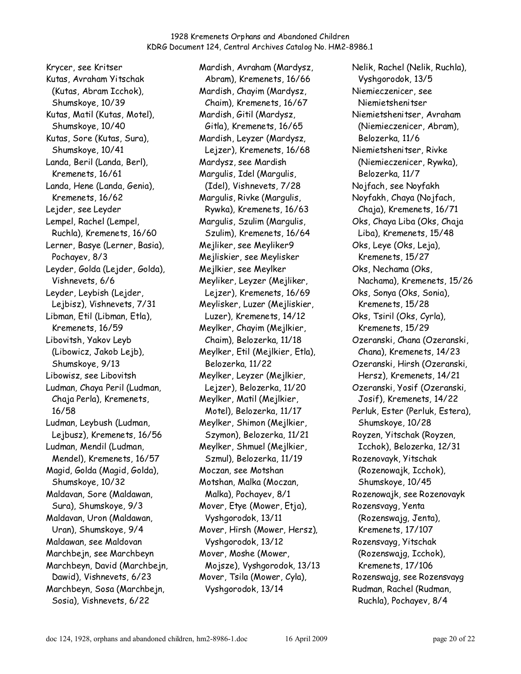Krycer, see Kritser Kutas, Avraham Yitschak (Kutas, Abram Icchok), Shumskoye, 10/39 Kutas, Matil (Kutas, Motel), Shumskoye, 10/40 Kutas, Sore (Kutas, Sura), Shumskoye, 10/41 Landa, Beril (Landa, Berl), Kremenets, 16/61 Landa, Hene (Landa, Genia), Kremenets, 16/62 Lejder, see Leyder Lempel, Rachel (Lempel, Ruchla), Kremenets, 16/60 Lerner, Basye (Lerner, Basia), Pochayev, 8/3 Leyder, Golda (Lejder, Golda), Vishnevets, 6/6 Leyder, Leybish (Lejder, Lejbisz), Vishnevets, 7/31 Libman, Etil (Libman, Etla), Kremenets, 16/59 Libovitsh, Yakov Leyb (Libowicz, Jakob Lejb), Shumskoye, 9/13 Libowisz, see Libovitsh Ludman, Chaya Peril (Ludman, Chaja Perla), Kremenets, 16/58 Ludman, Leybush (Ludman, Lejbusz), Kremenets, 16/56 Ludman, Mendil (Ludman, Mendel), Kremenets, 16/57 Magid, Golda (Magid, Golda), Shumskoye, 10/32 Maldavan, Sore (Maldawan, Sura), Shumskoye, 9/3 Maldavan, Uron (Maldawan, Uran), Shumskoye, 9/4 Maldawan, see Maldovan Marchbejn, see Marchbeyn Marchbeyn, David (Marchbejn, Dawid), Vishnevets, 6/23 Marchbeyn, Sosa (Marchbejn, Sosia), Vishnevets, 6/22

Mardish, Avraham (Mardysz, Abram), Kremenets, 16/66 Mardish, Chayim (Mardysz, Chaim), Kremenets, 16/67 Mardish, Gitil (Mardysz, Gitla), Kremenets, 16/65 Mardish, Leyzer (Mardysz, Lejzer), Kremenets, 16/68 Mardysz, see Mardish Margulis, Idel (Margulis, (Idel), Vishnevets, 7/28 Margulis, Rivke (Margulis, Rywka), Kremenets, 16/63 Margulis, Szulim (Margulis, Szulim), Kremenets, 16/64 Mejliker, see Meyliker9 Mejliskier, see Meylisker Mejlkier, see Meylker Meyliker, Leyzer (Mejliker, Lejzer), Kremenets, 16/69 Meylisker, Luzer (Mejliskier, Luzer), Kremenets, 14/12 Meylker, Chayim (Mejlkier, Chaim), Belozerka, 11/18 Meylker, Etil (Mejlkier, Etla), Belozerka, 11/22 Meylker, Leyzer (Mejlkier, Lejzer), Belozerka, 11/20 Meylker, Matil (Mejlkier, Motel), Belozerka, 11/17 Meylker, Shimon (Mejlkier, Szymon), Belozerka, 11/21 Meylker, Shmuel (Mejlkier, Szmul), Belozerka, 11/19 Moczan, see Motshan Motshan, Malka (Moczan, Malka), Pochayev, 8/1 Mover, Etye (Mower, Etja), Vyshgorodok, 13/11 Mover, Hirsh (Mower, Hersz), Vyshgorodok, 13/12 Mover, Moshe (Mower, Mojsze), Vyshgorodok, 13/13 Mover, Tsila (Mower, Cyla), Vyshgorodok, 13/14

Nelik, Rachel (Nelik, Ruchla), Vyshgorodok, 13/5 Niemieczenicer, see Niemietshenitser Niemietshenitser, Avraham (Niemieczenicer, Abram), Belozerka, 11/6 Niemietshenitser, Rivke (Niemieczenicer, Rywka), Belozerka, 11/7 Nojfach, see Noyfakh Noyfakh, Chaya (Nojfach, Chaja), Kremenets, 16/71 Oks, Chaya Liba (Oks, Chaja Liba), Kremenets, 15/48 Oks, Leye (Oks, Leja), Kremenets, 15/27 Oks, Nechama (Oks, Nachama), Kremenets, 15/26 Oks, Sonya (Oks, Sonia), Kremenets, 15/28 Oks, Tsiril (Oks, Cyrla), Kremenets, 15/29 Ozeranski, Chana (Ozeranski, Chana), Kremenets, 14/23 Ozeranski, Hirsh (Ozeranski, Hersz), Kremenets, 14/21 Ozeranski, Yosif (Ozeranski, Josif), Kremenets, 14/22 Perluk, Ester (Perluk, Estera), Shumskoye, 10/28 Royzen, Yitschak (Royzen, Icchok), Belozerka, 12/31 Rozenovayk, Yitschak (Rozenowajk, Icchok), Shumskoye, 10/45 Rozenowajk, see Rozenovayk Rozensvayg, Yenta (Rozenswajg, Jenta), Kremenets, 17/107 Rozensvayg, Yitschak (Rozenswajg, Icchok), Kremenets, 17/106 Rozenswajg, see Rozensvayg Rudman, Rachel (Rudman, Ruchla), Pochayev, 8/4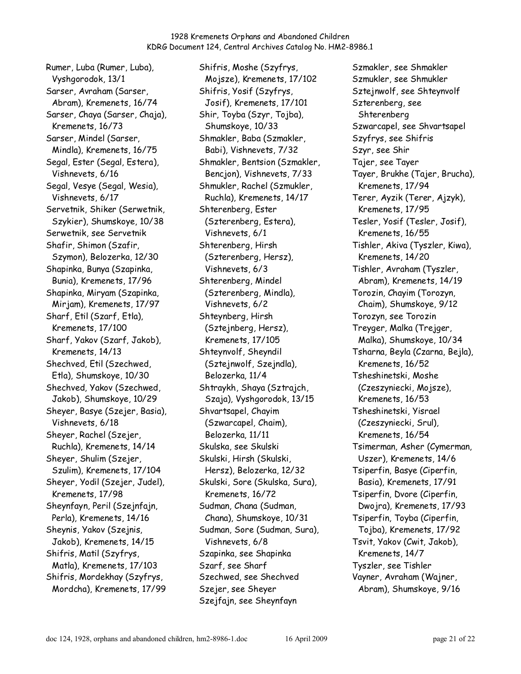Rumer, Luba (Rumer, Luba), Vyshgorodok, 13/1 Sarser, Avraham (Sarser, Abram), Kremenets, 16/74 Sarser, Chaya (Sarser, Chaja), Kremenets, 16/73 Sarser, Mindel (Sarser, Mindla), Kremenets, 16/75 Segal, Ester (Segal, Estera), Vishnevets, 6/16 Segal, Vesye (Segal, Wesia), Vishnevets, 6/17 Servetnik, Shiker (Serwetnik, Szykier), Shumskoye, 10/38 Serwetnik, see Servetnik Shafir, Shimon (Szafir, Szymon), Belozerka, 12/30 Shapinka, Bunya (Szapinka, Bunia), Kremenets, 17/96 Shapinka, Miryam (Szapinka, Mirjam), Kremenets, 17/97 Sharf, Etil (Szarf, Etla), Kremenets, 17/100 Sharf, Yakov (Szarf, Jakob), Kremenets, 14/13 Shechved, Etil (Szechwed, Etla), Shumskoye, 10/30 Shechved, Yakov (Szechwed, Jakob), Shumskoye, 10/29 Sheyer, Basye (Szejer, Basia), Vishnevets, 6/18 Sheyer, Rachel (Szejer, Ruchla), Kremenets, 14/14 Sheyer, Shulim (Szejer, Szulim), Kremenets, 17/104 Sheyer, Yodil (Szejer, Judel), Kremenets, 17/98 Sheynfayn, Peril (Szejnfajn, Perla), Kremenets, 14/16 Sheynis, Yakov (Szejnis, Jakob), Kremenets, 14/15 Shifris, Matil (Szyfrys, Matla), Kremenets, 17/103 Shifris, Mordekhay (Szyfrys, Mordcha), Kremenets, 17/99

Shifris, Moshe (Szyfrys, Mojsze), Kremenets, 17/102 Shifris, Yosif (Szyfrys, Josif), Kremenets, 17/101 Shir, Toyba (Szyr, Tojba), Shumskoye, 10/33 Shmakler, Baba (Szmakler, Babi), Vishnevets, 7/32 Shmakler, Bentsion (Szmakler, Bencjon), Vishnevets, 7/33 Shmukler, Rachel (Szmukler, Ruchla), Kremenets, 14/17 Shterenberg, Ester (Szterenberg, Estera), Vishnevets, 6/1 Shterenberg, Hirsh (Szterenberg, Hersz), Vishnevets, 6/3 Shterenberg, Mindel (Szterenberg, Mindla), Vishnevets, 6/2 Shteynberg, Hirsh (Sztejnberg, Hersz), Kremenets, 17/105 Shteynvolf, Sheyndil (Sztejnwolf, Szejndla), Belozerka, 11/4 Shtraykh, Shaya (Sztrajch, Szaja), Vyshgorodok, 13/15 Shvartsapel, Chayim (Szwarcapel, Chaim), Belozerka, 11/11 Skulska, see Skulski Skulski, Hirsh (Skulski, Hersz), Belozerka, 12/32 Skulski, Sore (Skulska, Sura), Kremenets, 16/72 Sudman, Chana (Sudman, Chana), Shumskoye, 10/31 Sudman, Sore (Sudman, Sura), Vishnevets, 6/8 Szapinka, see Shapinka Szarf, see Sharf Szechwed, see Shechved Szejer, see Sheyer Szejfajn, see Sheynfayn

Szmakler, see Shmakler Szmukler, see Shmukler Sztejnwolf, see Shteynvolf Szterenberg, see Shterenberg Szwarcapel, see Shvartsapel Szyfrys, see Shifris Szyr, see Shir Tajer, see Tayer Tayer, Brukhe (Tajer, Brucha), Kremenets, 17/94 Terer, Ayzik (Terer, Ajzyk), Kremenets, 17/95 Tesler, Yosif (Tesler, Josif), Kremenets, 16/55 Tishler, Akiva (Tyszler, Kiwa), Kremenets, 14/20 Tishler, Avraham (Tyszler, Abram), Kremenets, 14/19 Torozin, Chayim (Torozyn, Chaim), Shumskoye, 9/12 Torozyn, see Torozin Treyger, Malka (Trejger, Malka), Shumskoye, 10/34 Tsharna, Beyla (Czarna, Bejla), Kremenets, 16/52 Tsheshinetski, Moshe (Czeszyniecki, Mojsze), Kremenets, 16/53 Tsheshinetski, Yisrael (Czeszyniecki, Srul), Kremenets, 16/54 Tsimerman, Asher (Cymerman, Uszer), Kremenets, 14/6 Tsiperfin, Basye (Ciperfin, Basia), Kremenets, 17/91 Tsiperfin, Dvore (Ciperfin, Dwojra), Kremenets, 17/93 Tsiperfin, Toyba (Ciperfin, Tojba), Kremenets, 17/92 Tsvit, Yakov (Cwit, Jakob), Kremenets, 14/7 Tyszler, see Tishler Vayner, Avraham (Wajner, Abram), Shumskoye, 9/16